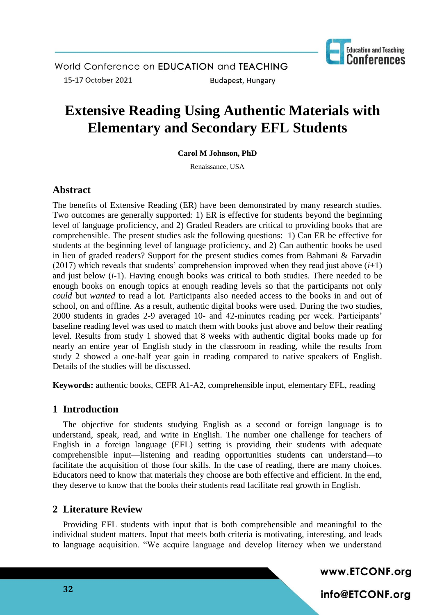

# **Extensive Reading Using Authentic Materials with Elementary and Secondary EFL Students**

**Carol M Johnson, PhD**

Renaissance, USA

# **Abstract**

The benefits of Extensive Reading (ER) have been demonstrated by many research studies. Two outcomes are generally supported: 1) ER is effective for students beyond the beginning level of language proficiency, and 2) Graded Readers are critical to providing books that are comprehensible. The present studies ask the following questions: 1) Can ER be effective for students at the beginning level of language proficiency, and 2) Can authentic books be used in lieu of graded readers? Support for the present studies comes from Bahmani & Farvadin (2017) which reveals that students' comprehension improved when they read just above  $(i+1)$ and just below (*i*-1). Having enough books was critical to both studies. There needed to be enough books on enough topics at enough reading levels so that the participants not only *could* but *wanted* to read a lot. Participants also needed access to the books in and out of school, on and offline. As a result, authentic digital books were used. During the two studies, 2000 students in grades 2-9 averaged 10- and 42-minutes reading per week. Participants' baseline reading level was used to match them with books just above and below their reading level. Results from study 1 showed that 8 weeks with authentic digital books made up for nearly an entire year of English study in the classroom in reading, while the results from study 2 showed a one-half year gain in reading compared to native speakers of English. Details of the studies will be discussed.

**Keywords:** authentic books, CEFR A1-A2, comprehensible input, elementary EFL, reading

# **1 Introduction**

The objective for students studying English as a second or foreign language is to understand, speak, read, and write in English. The number one challenge for teachers of English in a foreign language (EFL) setting is providing their students with adequate comprehensible input—listening and reading opportunities students can understand—to facilitate the acquisition of those four skills. In the case of reading, there are many choices. Educators need to know that materials they choose are both effective and efficient. In the end, they deserve to know that the books their students read facilitate real growth in English.

# **2 Literature Review**

Providing EFL students with input that is both comprehensible and meaningful to the individual student matters. Input that meets both criteria is motivating, interesting, and leads to language acquisition. "We acquire language and develop literacy when we understand

www.ETCONF.org

info@ETCONF.org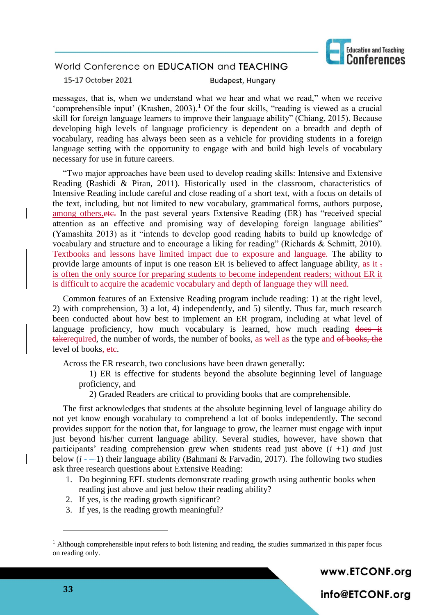

15-17 October 2021

**Budapest, Hungary** 

messages, that is, when we understand what we hear and what we read," when we receive 'comprehensible input' (Krashen, 2003).<sup>1</sup> Of the four skills, "reading is viewed as a crucial skill for foreign language learners to improve their language ability" (Chiang, 2015). Because developing high levels of language proficiency is dependent on a breadth and depth of vocabulary, reading has always been seen as a vehicle for providing students in a foreign language setting with the opportunity to engage with and build high levels of vocabulary necessary for use in future careers.

"Two major approaches have been used to develop reading skills: Intensive and Extensive Reading (Rashidi & Piran, 2011). Historically used in the classroom, characteristics of Intensive Reading include careful and close reading of a short text, with a focus on details of the text, including, but not limited to new vocabulary, grammatical forms, authors purpose, among others. etc. In the past several years Extensive Reading (ER) has "received special attention as an effective and promising way of developing foreign language abilities" (Yamashita 2013) as it "intends to develop good reading habits to build up knowledge of vocabulary and structure and to encourage a liking for reading" (Richards & Schmitt, 2010). Textbooks and lessons have limited impact due to exposure and language. The ability to provide large amounts of input is one reason ER is believed to affect language ability, as it is often the only source for preparing students to become independent readers; without ER it is difficult to acquire the academic vocabulary and depth of language they will need.

Common features of an Extensive Reading program include reading: 1) at the right level, 2) with comprehension, 3) a lot, 4) independently, and 5) silently. Thus far, much research been conducted about how best to implement an ER program, including at what level of language proficiency, how much vocabulary is learned, how much reading does it takerequired, the number of words, the number of books, as well as the type and of books, the level of books<del>-etc</del>.

Across the ER research, two conclusions have been drawn generally:

1) ER is effective for students beyond the absolute beginning level of language proficiency, and

2) Graded Readers are critical to providing books that are comprehensible.

The first acknowledges that students at the absolute beginning level of language ability do not yet know enough vocabulary to comprehend a lot of books independently. The second provides support for the notion that, for language to grow, the learner must engage with input just beyond his/her current language ability. Several studies, however, have shown that participants' reading comprehension grew when students read just above (*i* +1) *and* just below  $(i - 1)$  their language ability (Bahmani & Farvadin, 2017). The following two studies ask three research questions about Extensive Reading:

- 1. Do beginning EFL students demonstrate reading growth using authentic books when reading just above and just below their reading ability?
- 2. If yes, is the reading growth significant?
- 3. If yes, is the reading growth meaningful?

www.ETCONF.org

info@ETCONF.org

 $<sup>1</sup>$  Although comprehensible input refers to both listening and reading, the studies summarized in this paper focus</sup> on reading only.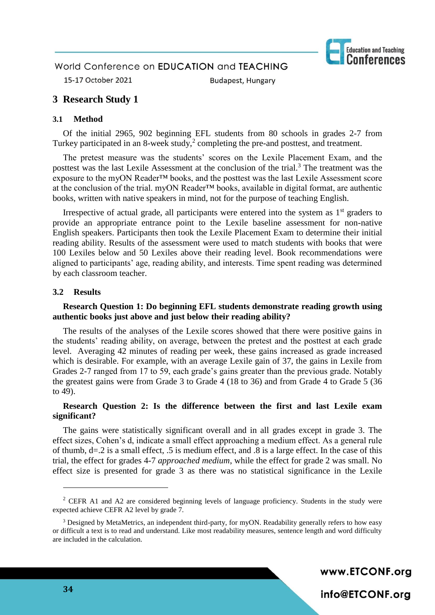

15-17 October 2021

**Budapest, Hungary** 

## **3 Research Study 1**

#### **3.1 Method**

Of the initial 2965, 902 beginning EFL students from 80 schools in grades 2-7 from Turkey participated in an 8-week study, $2$  completing the pre-and posttest, and treatment.

The pretest measure was the students' scores on the Lexile Placement Exam, and the posttest was the last Lexile Assessment at the conclusion of the trial.<sup>3</sup> The treatment was the exposure to the myON Reader™ books, and the posttest was the last Lexile Assessment score at the conclusion of the trial. myON Reader™ books, available in digital format, are authentic books, written with native speakers in mind, not for the purpose of teaching English.

Irrespective of actual grade, all participants were entered into the system as  $1<sup>st</sup>$  graders to provide an appropriate entrance point to the Lexile baseline assessment for non-native English speakers. Participants then took the Lexile Placement Exam to determine their initial reading ability. Results of the assessment were used to match students with books that were 100 Lexiles below and 50 Lexiles above their reading level. Book recommendations were aligned to participants' age, reading ability, and interests. Time spent reading was determined by each classroom teacher.

#### **3.2 Results**

#### **Research Question 1: Do beginning EFL students demonstrate reading growth using authentic books just above and just below their reading ability?**

The results of the analyses of the Lexile scores showed that there were positive gains in the students' reading ability, on average, between the pretest and the posttest at each grade level. Averaging 42 minutes of reading per week, these gains increased as grade increased which is desirable. For example, with an average Lexile gain of 37, the gains in Lexile from Grades 2-7 ranged from 17 to 59, each grade's gains greater than the previous grade. Notably the greatest gains were from Grade 3 to Grade 4 (18 to 36) and from Grade 4 to Grade 5 (36 to 49).

#### **Research Question 2: Is the difference between the first and last Lexile exam significant?**

The gains were statistically significant overall and in all grades except in grade 3. The effect sizes, Cohen's d, indicate a small effect approaching a medium effect. As a general rule of thumb, d=.2 is a small effect, .5 is medium effect, and .8 is a large effect. In the case of this trial, the effect for grades 4-7 *approached medium*, while the effect for grade 2 was small. No effect size is presented for grade 3 as there was no statistical significance in the Lexile

www.ETCONF.org

info@ETCONF.org

 $2$  CEFR A1 and A2 are considered beginning levels of language proficiency. Students in the study were expected achieve CEFR A2 level by grade 7.

<sup>&</sup>lt;sup>3</sup> Designed by MetaMetrics, an independent third-party, for myON. Readability generally refers to how easy or difficult a text is to read and understand. Like most readability measures, sentence length and word difficulty are included in the calculation.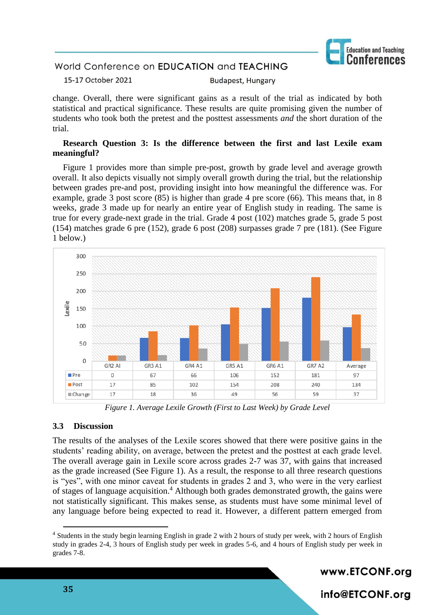

15-17 October 2021 **Budapest, Hungary** 

change. Overall, there were significant gains as a result of the trial as indicated by both statistical and practical significance. These results are quite promising given the number of students who took both the pretest and the posttest assessments *and* the short duration of the trial.

#### **Research Question 3: Is the difference between the first and last Lexile exam meaningful?**

Figure 1 provides more than simple pre-post, growth by grade level and average growth overall. It also depicts visually not simply overall growth during the trial, but the relationship between grades pre-and post, providing insight into how meaningful the difference was. For example, grade 3 post score (85) is higher than grade 4 pre score (66). This means that, in 8 weeks, grade 3 made up for nearly an entire year of English study in reading. The same is true for every grade-next grade in the trial. Grade 4 post (102) matches grade 5, grade 5 post (154) matches grade 6 pre (152), grade 6 post (208) surpasses grade 7 pre (181). (See Figure 1 below.)



*Figure 1. Average Lexile Growth (First to Last Week) by Grade Level*

#### **3.3 Discussion**

The results of the analyses of the Lexile scores showed that there were positive gains in the students' reading ability, on average, between the pretest and the posttest at each grade level. The overall average gain in Lexile score across grades 2-7 was 37, with gains that increased as the grade increased (See Figure 1). As a result, the response to all three research questions is "yes", with one minor caveat for students in grades 2 and 3, who were in the very earliest of stages of language acquisition.<sup>4</sup> Although both grades demonstrated growth, the gains were not statistically significant. This makes sense, as students must have some minimal level of any language before being expected to read it. However, a different pattern emerged from

www.ETCONF.org

info@ETCONF.org

<sup>4</sup> Students in the study begin learning English in grade 2 with 2 hours of study per week, with 2 hours of English study in grades 2-4, 3 hours of English study per week in grades 5-6, and 4 hours of English study per week in grades 7-8.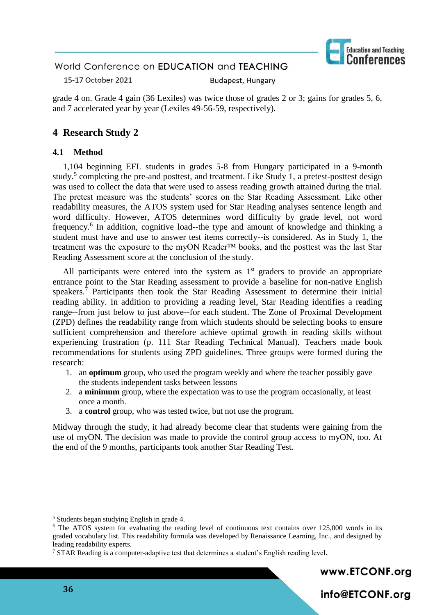

15-17 October 2021 **Budapest, Hungary** 

grade 4 on. Grade 4 gain (36 Lexiles) was twice those of grades 2 or 3; gains for grades 5, 6, and 7 accelerated year by year (Lexiles 49-56-59, respectively).

# **4 Research Study 2**

#### **4.1 Method**

1,104 beginning EFL students in grades 5-8 from Hungary participated in a 9-month study.<sup>5</sup> completing the pre-and posttest, and treatment. Like Study 1, a pretest-posttest design was used to collect the data that were used to assess reading growth attained during the trial. The pretest measure was the students' scores on the Star Reading Assessment. Like other readability measures, the ATOS system used for Star Reading analyses sentence length and word difficulty. However, ATOS determines word difficulty by grade level, not word frequency.<sup>6</sup> In addition, cognitive load--the type and amount of knowledge and thinking a student must have and use to answer test items correctly--is considered. As in Study 1, the treatment was the exposure to the myON Reader™ books, and the posttest was the last Star Reading Assessment score at the conclusion of the study.

All participants were entered into the system as  $1<sup>st</sup>$  graders to provide an appropriate entrance point to the Star Reading assessment to provide a baseline for non-native English speakers.<sup>7</sup> Participants then took the Star Reading Assessment to determine their initial reading ability. In addition to providing a reading level, Star Reading identifies a reading range--from just below to just above--for each student. The Zone of Proximal Development (ZPD) defines the readability range from which students should be selecting books to ensure sufficient comprehension and therefore achieve optimal growth in reading skills without experiencing frustration (p. 111 Star Reading Technical Manual). Teachers made book recommendations for students using ZPD guidelines. Three groups were formed during the research:

- 1. an **optimum** group, who used the program weekly and where the teacher possibly gave the students independent tasks between lessons
- 2. a **minimum** group, where the expectation was to use the program occasionally, at least once a month.
- 3. a **control** group, who was tested twice, but not use the program.

Midway through the study, it had already become clear that students were gaining from the use of myON. The decision was made to provide the control group access to myON, too. At the end of the 9 months, participants took another Star Reading Test.

www.ETCONF.org

info@ETCONF.org

<sup>5</sup> Students began studying English in grade 4.

<sup>&</sup>lt;sup>6</sup> The ATOS system for evaluating the reading level of continuous text contains over 125,000 words in its graded vocabulary list. This readability formula was developed by Renaissance Learning, Inc., and designed by leading readability experts.

<sup>7</sup> STAR Reading is a computer-adaptive test that determines a student's English reading level**.**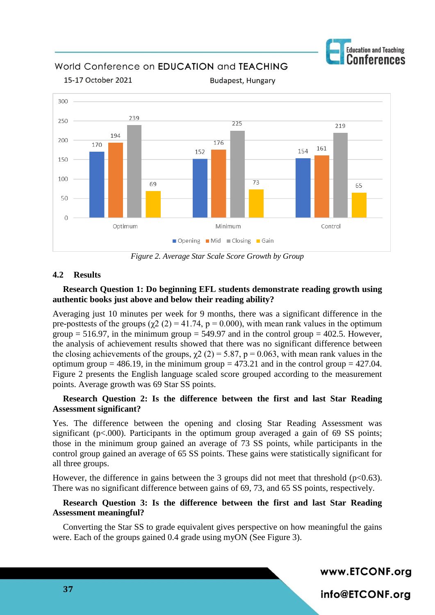

World Conference on EDUCATION and TEACHING



**Budapest, Hungary** 

*Figure 2. Average Star Scale Score Growth by Group*

## **4.2 Results**

15-17 October 2021

## **Research Question 1: Do beginning EFL students demonstrate reading growth using authentic books just above and below their reading ability?**

Averaging just 10 minutes per week for 9 months, there was a significant difference in the pre-posttests of the groups ( $\gamma$ 2 (2) = 41.74, p = 0.000), with mean rank values in the optimum group  $= 516.97$ , in the minimum group  $= 549.97$  and in the control group  $= 402.5$ . However, the analysis of achievement results showed that there was no significant difference between the closing achievements of the groups,  $\chi$ 2 (2) = 5.87, p = 0.063, with mean rank values in the optimum group = 486.19, in the minimum group = 473.21 and in the control group = 427.04. Figure 2 presents the English language scaled score grouped according to the measurement points. Average growth was 69 Star SS points.

### **Research Question 2: Is the difference between the first and last Star Reading Assessment significant?**

Yes. The difference between the opening and closing Star Reading Assessment was significant ( $p<.000$ ). Participants in the optimum group averaged a gain of 69 SS points; those in the minimum group gained an average of 73 SS points, while participants in the control group gained an average of 65 SS points. These gains were statistically significant for all three groups.

However, the difference in gains between the 3 groups did not meet that threshold  $(p<0.63)$ . There was no significant difference between gains of 69, 73, and 65 SS points, respectively.

#### **Research Question 3: Is the difference between the first and last Star Reading Assessment meaningful?**

Converting the Star SS to grade equivalent gives perspective on how meaningful the gains were. Each of the groups gained 0.4 grade using myON (See Figure 3).

www.ETCONF.org

info@ETCONF.org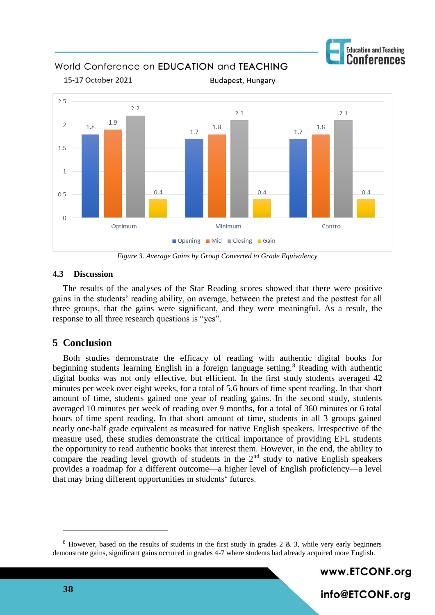

World Conference on EDUCATION and TEACHING



*Figure 3. Average Gains by Group Converted to Grade Equivalency*

#### **4.3 Discussion**

The results of the analyses of the Star Reading scores showed that there were positive gains in the students' reading ability, on average, between the pretest and the posttest for all three groups, that the gains were significant, and they were meaningful. As a result, the response to all three research questions is "yes".

## **5 Conclusion**

Both studies demonstrate the efficacy of reading with authentic digital books for beginning students learning English in a foreign language setting.<sup>8</sup> Reading with authentic digital books was not only effective, but efficient. In the first study students averaged 42 minutes per week over eight weeks, for a total of 5.6 hours of time spent reading. In that short amount of time, students gained one year of reading gains. In the second study, students averaged 10 minutes per week of reading over 9 months, for a total of 360 minutes or 6 total hours of time spent reading. In that short amount of time, students in all 3 groups gained nearly one-half grade equivalent as measured for native English speakers. Irrespective of the measure used, these studies demonstrate the critical importance of providing EFL students the opportunity to read authentic books that interest them. However, in the end, the ability to compare the reading level growth of students in the 2<sup>nd</sup> study to native English speakers provides a roadmap for a different outcome—a higher level of English proficiency—a level that may bring different opportunities in students' futures.

www.ETCONF.org

info@ETCONF.org

<sup>&</sup>lt;sup>8</sup> However, based on the results of students in the first study in grades 2  $\&$  3, while very early beginners demonstrate gains, significant gains occurred in grades 4-7 where students had already acquired more English.